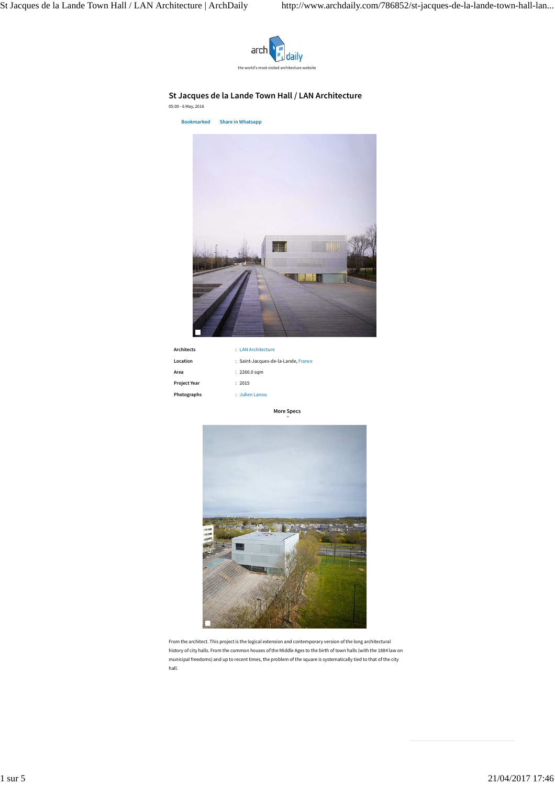

## **St Jacques de la Lande Town Hall / LAN Architecture**

05:00 - 6 May, 2016

**Bookmarked Share in Whatsapp**



| <b>Architects</b>   | : LAN Architecture                  |
|---------------------|-------------------------------------|
| Location            | : Saint-Jacques-de-la-Lande, France |
| Area                | $: 2260.0$ sqm                      |
| <b>Project Year</b> | : 2015                              |
| Photographs         | : Julien Lanoo                      |

**More Specs**



From the architect. This project is the logical extension and contemporary version of the long architectural history of city halls. From the common houses of the Middle Ages to the birth of town halls (with the 1884 law on municipal freedoms) and up to recent times, the problem of the square is systematically tied to that of the city hall.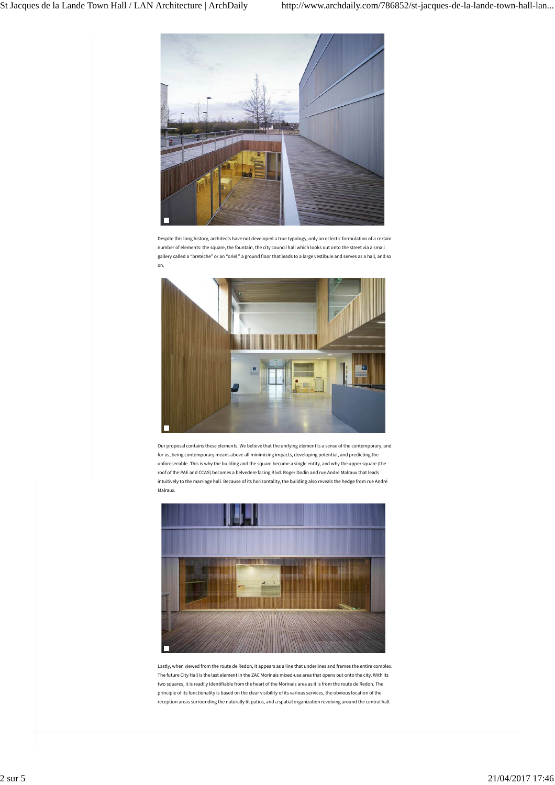

Despite this long history, architects have not developed a true typology, only an eclectic formulation of a certain number of elements: the square, the fountain, the city council hall which looks out onto the street via a small gallery called a "breteche" or an "oriel," a ground floor that leads to a large vestibule and serves as a hall, and so on.



Our proposal contains these elements. We believe that the unifying element is a sense of the contemporary, and for us, being contemporary means above all minimizing impacts, developing potential, and predicting the unforeseeable. This is why the building and the square become a single entity, and why the upper square (the roof of the PAE and CCAS) becomes a belvedere facing Blvd. Roger Dodin and rue André Malraux that leads intuitively to the marriage hall. Because of its horizontality, the building also reveals the hedge from rue André Malraux.



Lastly, when viewed from the route de Redon, it appears as a line that underlines and frames the entire complex. The future City Hall is the last element in the ZAC Morinais mixed-use area that opens out onto the city. With its two squares, it is readily identifiable from the heart of the Morinais area as it is from the route de Redon. The principle of its functionality is based on the clear visibility of its various services, the obvious location of the reception areas surrounding the naturally lit patios, and a spatial organization revolving around the central hall.